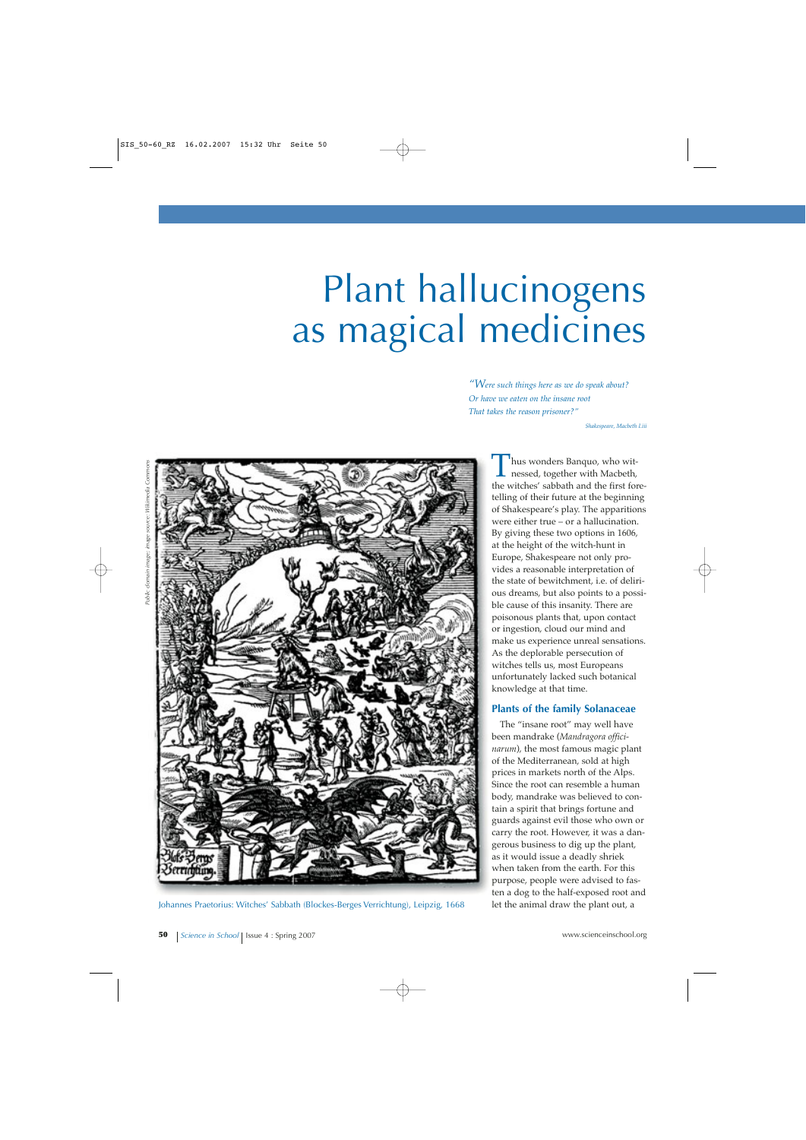# Plant hallucinogens as magical medicines

*"Were such things here as we do speak about? Or have we eaten on the insane root That takes the reason prisoner?"*

*Shakespeare, Macbeth I.iii*



Johannes Praetorius: Witches' Sabbath (Blockes-Berges Verrichtung), Leipzig, 1668

Thus wonders Banquo, who with<br>
nessed, together with Macbeth,<br>
the witches' sabbath and the first form the witches' sabbath and the first foretelling of their future at the beginning of Shakespeare's play. The apparitions were either true – or a hallucination. By giving these two options in 1606, at the height of the witch-hunt in Europe, Shakespeare not only provides a reasonable interpretation of the state of bewitchment, i.e. of delirious dreams, but also points to a possible cause of this insanity. There are poisonous plants that, upon contact or ingestion, cloud our mind and make us experience unreal sensations. As the deplorable persecution of witches tells us, most Europeans unfortunately lacked such botanical knowledge at that time.

#### **Plants of the family Solanaceae**

The "insane root" may well have been mandrake (*Mandragora officinarum*), the most famous magic plant of the Mediterranean, sold at high prices in markets north of the Alps. Since the root can resemble a human body, mandrake was believed to contain a spirit that brings fortune and guards against evil those who own or carry the root. However, it was a dangerous business to dig up the plant, as it would issue a deadly shriek when taken from the earth. For this purpose, people were advised to fasten a dog to the half-exposed root and let the animal draw the plant out, a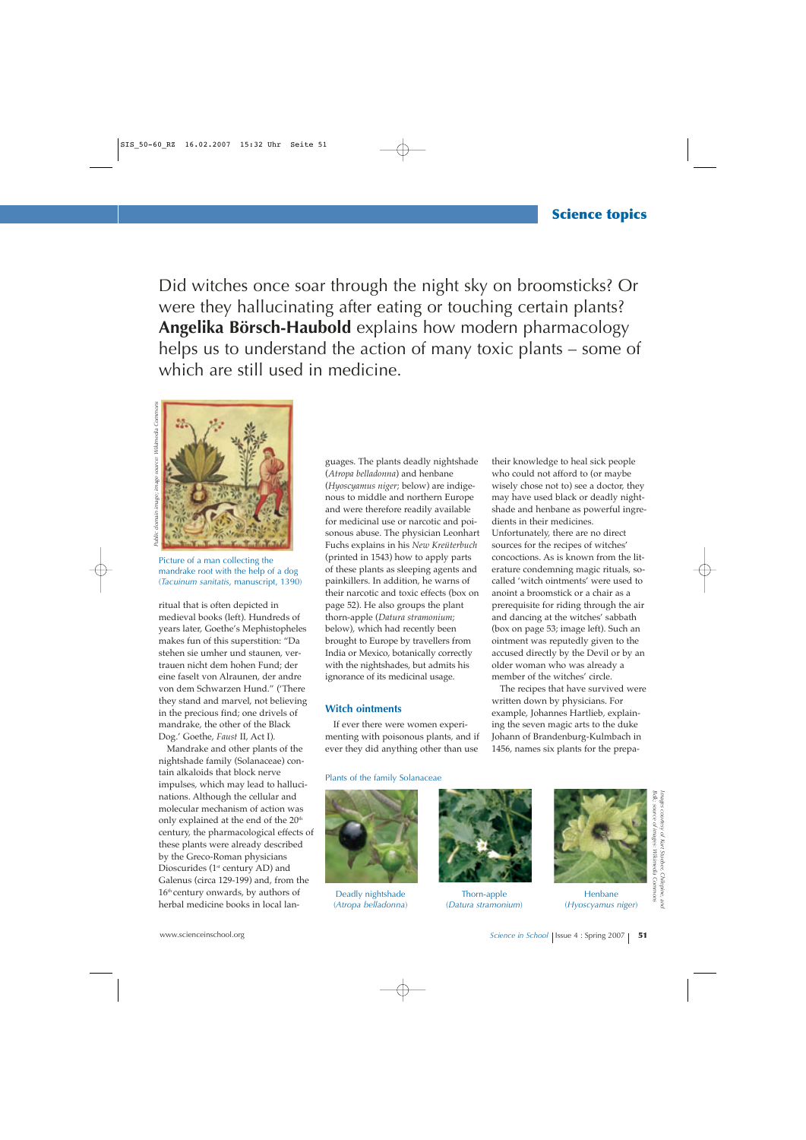Did witches once soar through the night sky on broomsticks? Or were they hallucinating after eating or touching certain plants? **Angelika Börsch-Haubold** explains how modern pharmacology helps us to understand the action of many toxic plants – some of which are still used in medicine.



Picture of a man collecting the mandrake root with the help of a dog

ritual that is often depicted in medieval books (left). Hundreds of years later, Goethe's Mephistopheles makes fun of this superstition: "Da stehen sie umher und staunen, vertrauen nicht dem hohen Fund; der eine faselt von Alraunen, der andre von dem Schwarzen Hund." ('There they stand and marvel, not believing in the precious find; one drivels of mandrake, the other of the Black Dog.' Goethe, *Faust* II, Act I).

Mandrake and other plants of the nightshade family (Solanaceae) contain alkaloids that block nerve impulses, which may lead to hallucinations. Although the cellular and molecular mechanism of action was only explained at the end of the  $20<sup>th</sup>$ century, the pharmacological effects of these plants were already described by the Greco-Roman physicians Dioscurides ( $1<sup>st</sup>$  century AD) and Galenus (circa 129-199) and, from the 16<sup>th</sup> century onwards, by authors of herbal medicine books in local lan-

guages. The plants deadly nightshade (*Atropa belladonna*) and henbane (*Hyoscyamus niger*; below) are indigenous to middle and northern Europe and were therefore readily available for medicinal use or narcotic and poisonous abuse. The physician Leonhart Fuchs explains in his *New Kreüterbuch* (printed in 1543) how to apply parts of these plants as sleeping agents and painkillers. In addition, he warns of their narcotic and toxic effects (box on page 52). He also groups the plant thorn-apple (*Datura stramonium*; below), which had recently been brought to Europe by travellers from India or Mexico, botanically correctly with the nightshades, but admits his ignorance of its medicinal usage.

#### **Witch ointments**

If ever there were women experimenting with poisonous plants, and if ever they did anything other than use

Plants of the family Solanaceae



Deadly nightshade (*Atropa belladonna*)



Thorn-apple (*Datura stramonium*)



Henbane (*Hyoscyamus niger*)

who could not afford to (or maybe wisely chose not to) see a doctor, they may have used black or deadly nightshade and henbane as powerful ingredients in their medicines. Unfortunately, there are no direct sources for the recipes of witches' concoctions. As is known from the literature condemning magic rituals, socalled 'witch ointments' were used to anoint a broomstick or a chair as a prerequisite for riding through the air and dancing at the witches' sabbath (box on page 53; image left). Such an ointment was reputedly given to the accused directly by the Devil or by an older woman who was already a member of the witches' circle. The recipes that have survived were

their knowledge to heal sick people

written down by physicians. For example, Johannes Hartlieb, explaining the seven magic arts to the duke Johann of Brandenburg-Kulmbach in 1456, names six plants for the prepa-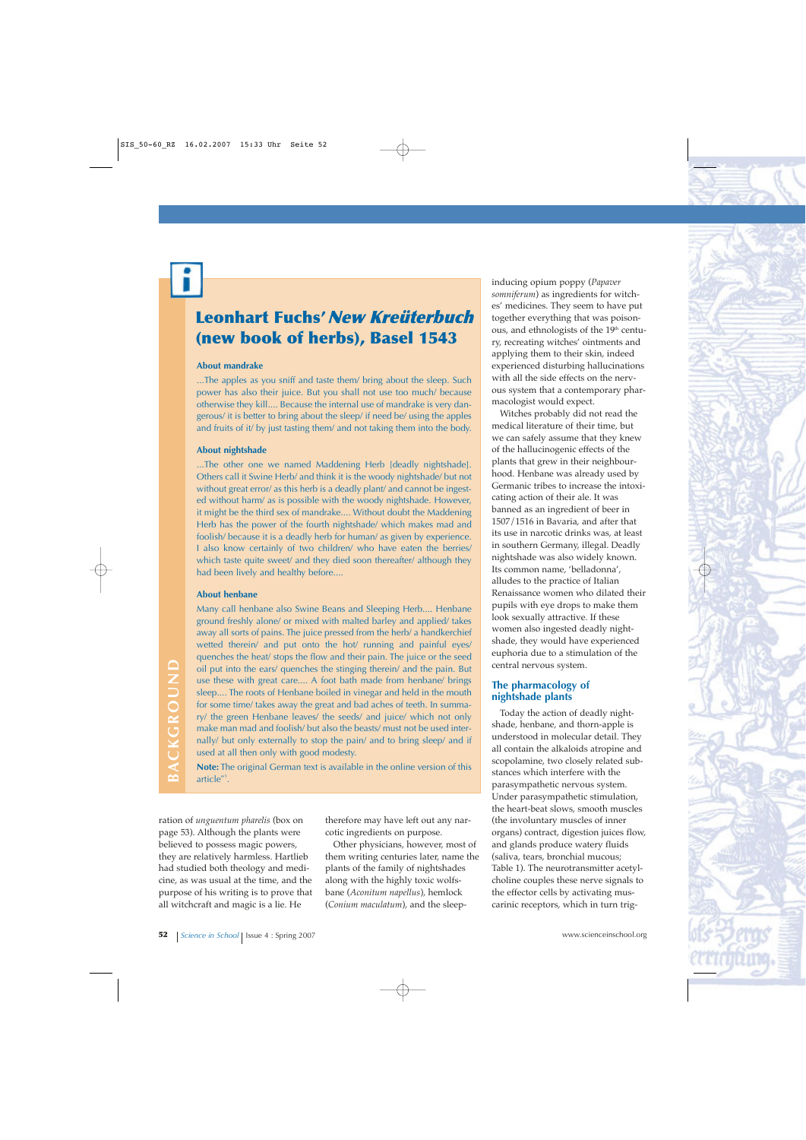## **Leonhart Fuchs' (new book of herbs), Basel 1543**

#### **About mandrake**

...The apples as you sniff and taste them/ bring about the sleep. Such power has also their juice. But you shall not use too much/ because otherwise they kill.... Because the internal use of mandrake is very dangerous/ it is better to bring about the sleep/ if need be/ using the apples and fruits of it/ by just tasting them/ and not taking them into the body.

#### **About nightshade**

...The other one we named Maddening Herb [deadly nightshade]. Others call it Swine Herb/ and think it is the woody nightshade/ but not without great error/ as this herb is a deadly plant/ and cannot be ingested without harm/ as is possible with the woody nightshade. However, it might be the third sex of mandrake.... Without doubt the Maddening Herb has the power of the fourth nightshade/ which makes mad and foolish/ because it is a deadly herb for human/ as given by experience. I also know certainly of two children/ who have eaten the berries/ which taste quite sweet/ and they died soon thereafter/ although they had been lively and healthy before....

#### **About henbane**

Many call henbane also Swine Beans and Sleeping Herb.... Henbane ground freshly alone/ or mixed with malted barley and applied/ takes away all sorts of pains. The juice pressed from the herb/ a handkerchief wetted therein/ and put onto the hot/ running and painful eyes/ quenches the heat/ stops the flow and their pain. The juice or the seed oil put into the ears/ quenches the stinging therein/ and the pain. But use these with great care.... A foot bath made from henbane/ brings sleep.... The roots of Henbane boiled in vinegar and held in the mouth for some time/ takes away the great and bad aches of teeth. In summary/ the green Henbane leaves/ the seeds/ and juice/ which not only make man mad and foolish/ but also the beasts/ must not be used internally/ but only externally to stop the pain/ and to bring sleep/ and if used at all then only with good modesty.

**Note:** The original German text is available in the online version of this article $^{\text{w1}}$ .

ration of *unguentum pharelis* (box on page 53). Although the plants were believed to possess magic powers, they are relatively harmless. Hartlieb had studied both theology and medicine, as was usual at the time, and the purpose of his writing is to prove that all witchcraft and magic is a lie. He

therefore may have left out any narcotic ingredients on purpose.

Other physicians, however, most of them writing centuries later, name the plants of the family of nightshades along with the highly toxic wolfsbane (*Aconitum napellus*), hemlock (*Conium maculatum*), and the sleepinducing opium poppy (*Papaver somniferum*) as ingredients for witches' medicines. They seem to have put together everything that was poisonous, and ethnologists of the 19<sup>th</sup> century, recreating witches' ointments and applying them to their skin, indeed experienced disturbing hallucinations with all the side effects on the nervous system that a contemporary pharmacologist would expect.

Witches probably did not read the medical literature of their time, but we can safely assume that they knew of the hallucinogenic effects of the plants that grew in their neighbourhood. Henbane was already used by Germanic tribes to increase the intoxicating action of their ale. It was banned as an ingredient of beer in 1507/1516 in Bavaria, and after that its use in narcotic drinks was, at least in southern Germany, illegal. Deadly nightshade was also widely known. Its common name, 'belladonna', alludes to the practice of Italian Renaissance women who dilated their pupils with eye drops to make them look sexually attractive. If these women also ingested deadly nightshade, they would have experienced euphoria due to a stimulation of the central nervous system.

#### **The pharmacology of nightshade plants**

Today the action of deadly nightshade, henbane, and thorn-apple is understood in molecular detail. They all contain the alkaloids atropine and scopolamine, two closely related substances which interfere with the parasympathetic nervous system. Under parasympathetic stimulation, the heart-beat slows, smooth muscles (the involuntary muscles of inner organs) contract, digestion juices flow, and glands produce watery fluids (saliva, tears, bronchial mucous; Table 1). The neurotransmitter acetylcholine couples these nerve signals to the effector cells by activating muscarinic receptors, which in turn trig-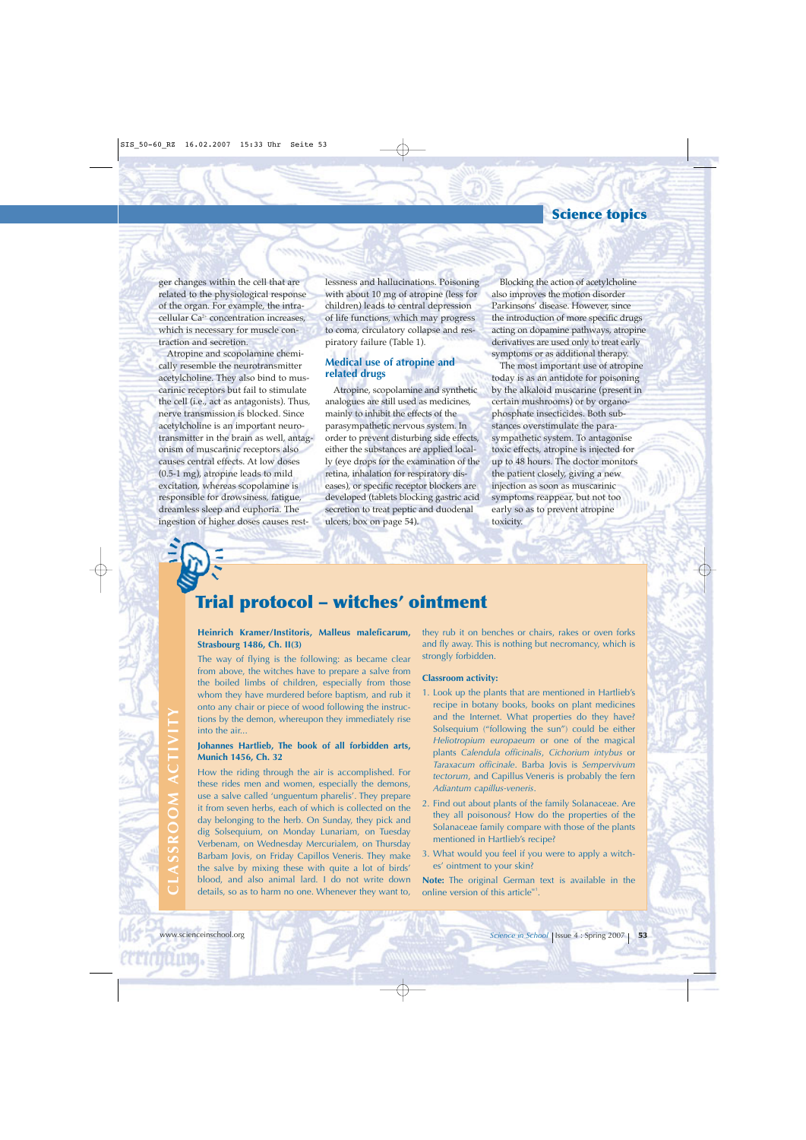## **Science topics**

ger changes within the cell that are related to the physiological response of the organ. For example, the intracellular Ca<sup>2+</sup> concentration increases, which is necessary for muscle contraction and secretion.

Atropine and scopolamine chemically resemble the neurotransmitter acetylcholine. They also bind to muscarinic receptors but fail to stimulate the cell (i.e., act as antagonists). Thus, nerve transmission is blocked. Since acetylcholine is an important neurotransmitter in the brain as well, antagonism of muscarinic receptors also causes central effects. At low doses (0.5-1 mg), atropine leads to mild excitation, whereas scopolamine is responsible for drowsiness, fatigue, dreamless sleep and euphoria. The ingestion of higher doses causes restlessness and hallucinations. Poisoning with about 10 mg of atropine (less for children) leads to central depression of life functions, which may progress to coma, circulatory collapse and respiratory failure (Table 1).

### **Medical use of atropine and related drugs**

Atropine, scopolamine and synthetic analogues are still used as medicines, mainly to inhibit the effects of the parasympathetic nervous system. In order to prevent disturbing side effects, either the substances are applied locally (eye drops for the examination of the retina, inhalation for respiratory diseases), or specific receptor blockers are developed (tablets blocking gastric acid secretion to treat peptic and duodenal ulcers; box on page 54).

Blocking the action of acetylcholine also improves the motion disorder Parkinsons' disease. However, since the introduction of more specific drugs acting on dopamine pathways, atropine derivatives are used only to treat early symptoms or as additional therapy.

The most important use of atropine today is as an antidote for poisoning by the alkaloid muscarine (present in certain mushrooms) or by organophosphate insecticides. Both substances overstimulate the parasympathetic system. To antagonise toxic effects, atropine is injected for up to 48 hours. The doctor monitors the patient closely, giving a new injection as soon as muscarinic symptoms reappear, but not too early so as to prevent atropine toxicity.

# **Trial protocol – witches' ointment**

mm

#### **Heinrich Kramer/Institoris, Malleus maleficarum, Strasbourg 1486, Ch. II(3)**

The way of flying is the following: as became clear from above, the witches have to prepare a salve from the boiled limbs of children, especially from those whom they have murdered before baptism, and rub it onto any chair or piece of wood following the instructions by the demon, whereupon they immediately rise into the air...

#### **Johannes Hartlieb, The book of all forbidden arts, Munich 1456, Ch. 32**

How the riding through the air is accomplished. For these rides men and women, especially the demons, use a salve called 'unguentum pharelis'. They prepare it from seven herbs, each of which is collected on the day belonging to the herb. On Sunday, they pick and dig Solsequium, on Monday Lunariam, on Tuesday Verbenam, on Wednesday Mercurialem, on Thursday Barbam Jovis, on Friday Capillos Veneris. They make the salve by mixing these with quite a lot of birds' blood, and also animal lard. I do not write down details, so as to harm no one. Whenever they want to,

they rub it on benches or chairs, rakes or oven forks and fly away. This is nothing but necromancy, which is strongly forbidden.

#### **Classroom activity:**

- 1. Look up the plants that are mentioned in Hartlieb's recipe in botany books, books on plant medicines and the Internet. What properties do they have? Solsequium ("following the sun") could be either *Heliotropium europaeum* or one of the magical plants *Calendula officinalis*, *Cichorium intybus* or *Taraxacum officinale*. Barba Jovis is *Sempervivum tectorum*, and Capillus Veneris is probably the fern *Adiantum capillus-veneris*.
- 2. Find out about plants of the family Solanaceae. Are they all poisonous? How do the properties of the Solanaceae family compare with those of the plants mentioned in Hartlieb's recipe?
- 3. What would you feel if you were to apply a witches' ointment to your skin?

**Note:** The original German text is available in the online version of this article<sup>w1</sup>.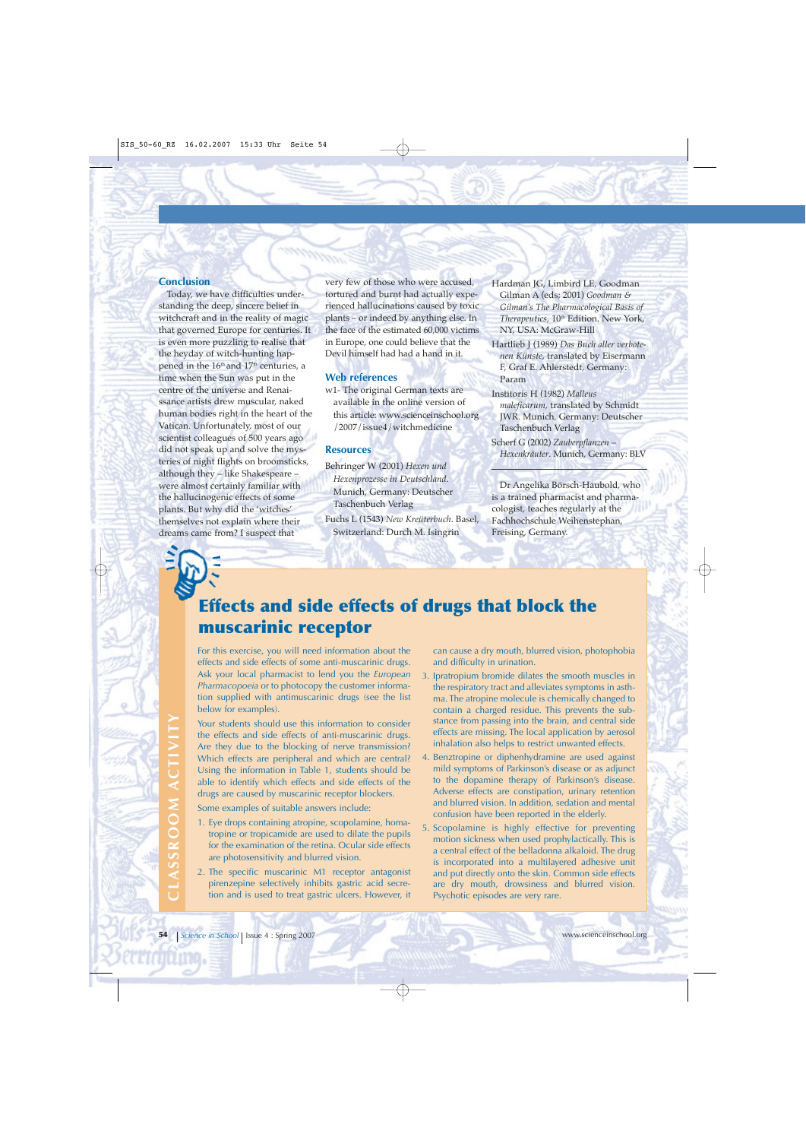#### **Conclusion**

Today, we have difficulties understanding the deep, sincere belief in witchcraft and in the reality of magic that governed Europe for centuries. It is even more puzzling to realise that the heyday of witch-hunting happened in the  $16<sup>th</sup>$  and  $17<sup>th</sup>$  centuries, a time when the Sun was put in the centre of the universe and Renaissance artists drew muscular, naked human bodies right in the heart of the Vatican. Unfortunately, most of our scientist colleagues of 500 years ago did not speak up and solve the mysteries of night flights on broomsticks, although they – like Shakespeare – were almost certainly familiar with the hallucinogenic effects of some plants. But why did the 'witches' themselves not explain where their dreams came from? I suspect that

very few of those who were accused, tortured and burnt had actually experienced hallucinations caused by toxic plants – or indeed by anything else. In the face of the estimated 60,000 victims in Europe, one could believe that the Devil himself had had a hand in it.

#### **Web references**

w1- The original German texts are available in the online version of this article: www.scienceinschool.org /2007/issue4/witchmedicine

#### **Resources**

- Behringer W (2001) *Hexen und Hexenprozesse in Deutschland*. Munich, Germany: Deutscher Taschenbuch Verlag
- Fuchs L (1543) *New Kreüterbuch*. Basel, Switzerland: Durch M. Isingrin
- Hardman JG, Limbird LE, Goodman Gilman A (eds; 2001) *Goodman & Gilman's The Pharmacological Basis of Therapeutics*, 10<sup>th</sup> Edition. New York, NY, USA: McGraw-Hill
- Hartlieb J (1989) *Das Buch aller verbotenen Künste*, translated by Eisermann F, Graf E. Ahlerstedt, Germany: Param
- Institoris H (1982) *Malleus maleficarum*, translated by Schmidt JWR. Munich, Germany: Deutscher Taschenbuch Verlag
- Scherf G (2002) *Zauberpflanzen – Hexenkräuter*. Munich, Germany: BLV

Dr Angelika Börsch-Haubold, who is a trained pharmacist and pharmacologist, teaches regularly at the Fachhochschule Weihenstephan, Freising, Germany.

# **Effects and side effects of drugs that block the muscarinic receptor**

For this exercise, you will need information about the effects and side effects of some anti-muscarinic drugs. Ask your local pharmacist to lend you the *European Pharmacopoeia* or to photocopy the customer information supplied with antimuscarinic drugs (see the list below for examples).

Your students should use this information to consider the effects and side effects of anti-muscarinic drugs. Are they due to the blocking of nerve transmission? Which effects are peripheral and which are central? Using the information in Table 1, students should be able to identify which effects and side effects of the drugs are caused by muscarinic receptor blockers. **Examples the school and the school of the school of the school of the school of the school of the school of the school of the school of the school of the school of the school of the school of the school. The school of the** 

Some examples of suitable answers include:

- 1. Eye drops containing atropine, scopolamine, homatropine or tropicamide are used to dilate the pupils for the examination of the retina. Ocular side effects are photosensitivity and blurred vision.
- 2. The specific muscarinic M1 receptor antagonist pirenzepine selectively inhibits gastric acid secretion and is used to treat gastric ulcers. However, it

can cause a dry mouth, blurred vision, photophobia and difficulty in urination.

- 3. Ipratropium bromide dilates the smooth muscles in the respiratory tract and alleviates symptoms in asthma. The atropine molecule is chemically changed to contain a charged residue. This prevents the substance from passing into the brain, and central side effects are missing. The local application by aerosol inhalation also helps to restrict unwanted effects.
- 4. Benztropine or diphenhydramine are used against mild symptoms of Parkinson's disease or as adjunct to the dopamine therapy of Parkinson's disease. Adverse effects are constipation, urinary retention and blurred vision. In addition, sedation and mental confusion have been reported in the elderly.
- 5. Scopolamine is highly effective for preventing motion sickness when used prophylactically. This is a central effect of the belladonna alkaloid. The drug is incorporated into a multilayered adhesive unit and put directly onto the skin. Common side effects are dry mouth, drowsiness and blurred vision. Psychotic episodes are very rare.